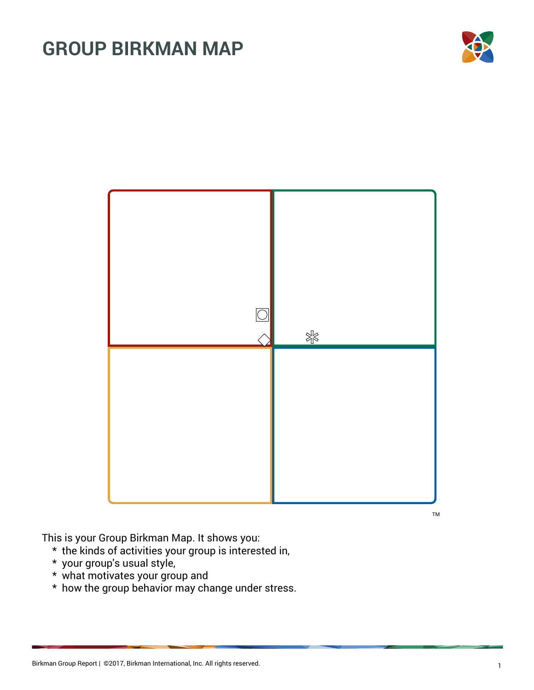



TM

This is your Group Birkman Map. It shows you:

- \* the kinds of activities your group is interested in,
- \* your group's usual style,
- \* what motivates your group and
- \* how the group behavior may change under stress.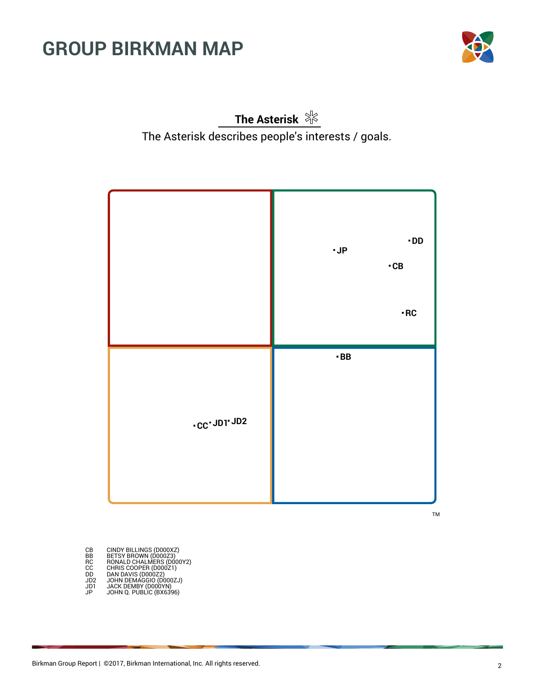

**The Asterisk** The Asterisk describes people's interests / goals.



TM

CB BETSY BROWN (D000XZ)<br>BB BETSY BROWN (D000Z3)<br>RC RONALD CHALMERS (D000Y2)<br>CC CHRIS COOPER (D000Z1)<br>DD DAN DAVIS (D000Z2)<br>JD2 JACK DEMBY (D000YN)<br>JP JACK DEMBY (D000YN)<br>JP JOHN Q. PUBLIC (BX6396)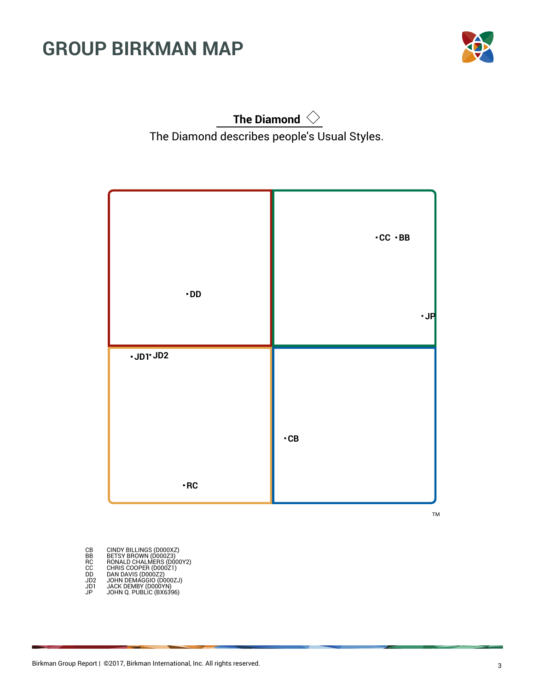

**The Diamond** The Diamond describes people's Usual Styles.



TM

| CВ              | CINDY BILLINGS (D000XZ)<br>BETSY BROWN (D000Z3) |
|-----------------|-------------------------------------------------|
| BB              |                                                 |
| RC              | RONALD CHALMERS (D000Y2)                        |
| СC              | CHRIS COOPER (D000Z1)                           |
| DD              | DAN DAVIS (D000Z2)                              |
| JD <sub>2</sub> | JOHN DEMAGGIO (D000ZJ)                          |
| JD1             |                                                 |
| JP              | JACK DEMBY (D000YN)<br>JOHN Q. PUBLIC (BX6396)  |
|                 |                                                 |